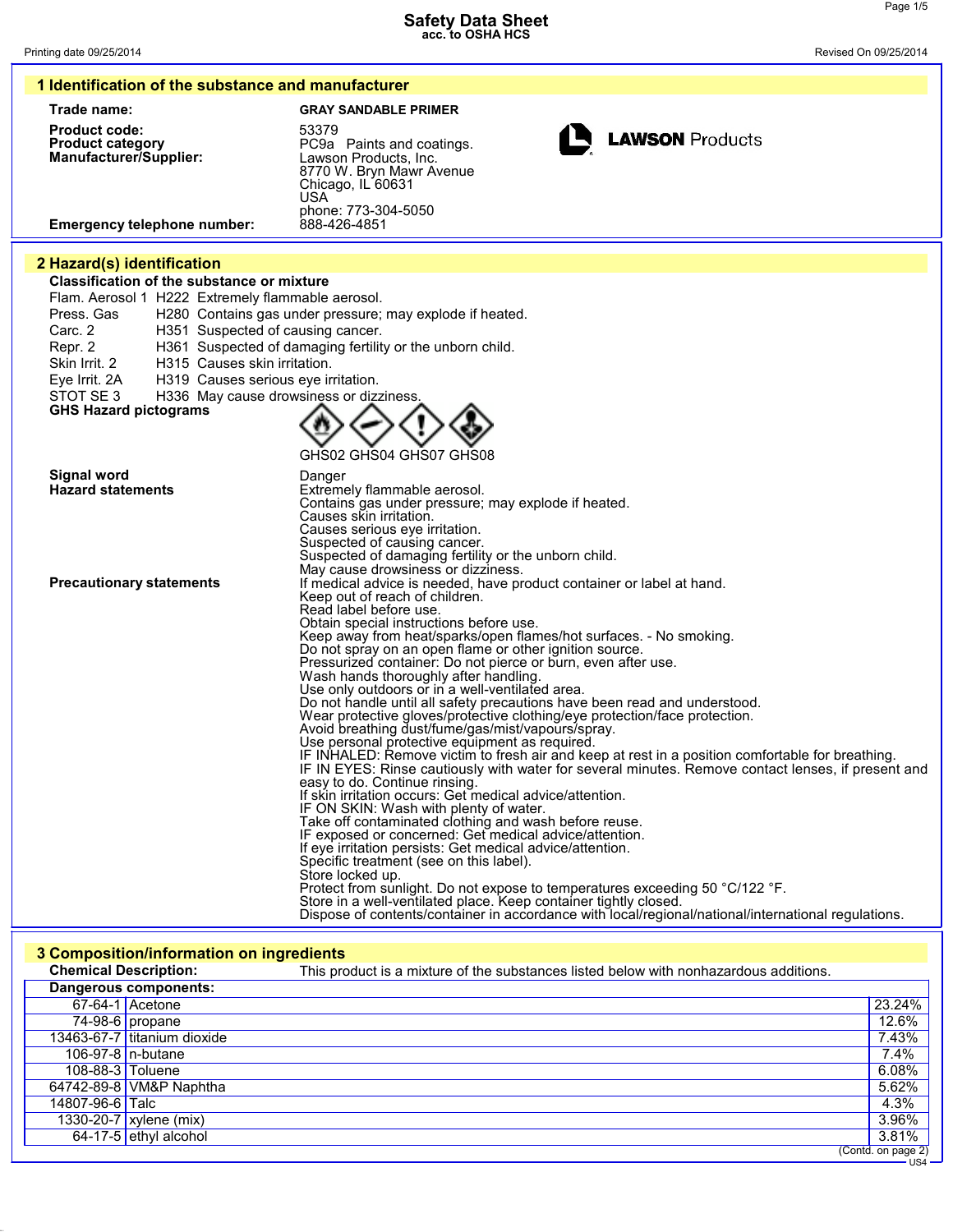| 1 Identification of the substance and manufacturer                                                                                                                                                                                              |                                                                                                                                                                                                                                                                                                                                                                                                                                                                                                                                                                                                                                                                                                                                                                                                                                                                                                                                                                                                                                                                                                                                                                                                                                                                                                                                                                                                                                                                                                                                                                                                                                                                                                                                                                                                                                                           |  |  |
|-------------------------------------------------------------------------------------------------------------------------------------------------------------------------------------------------------------------------------------------------|-----------------------------------------------------------------------------------------------------------------------------------------------------------------------------------------------------------------------------------------------------------------------------------------------------------------------------------------------------------------------------------------------------------------------------------------------------------------------------------------------------------------------------------------------------------------------------------------------------------------------------------------------------------------------------------------------------------------------------------------------------------------------------------------------------------------------------------------------------------------------------------------------------------------------------------------------------------------------------------------------------------------------------------------------------------------------------------------------------------------------------------------------------------------------------------------------------------------------------------------------------------------------------------------------------------------------------------------------------------------------------------------------------------------------------------------------------------------------------------------------------------------------------------------------------------------------------------------------------------------------------------------------------------------------------------------------------------------------------------------------------------------------------------------------------------------------------------------------------------|--|--|
| Trade name:                                                                                                                                                                                                                                     | <b>GRAY SANDABLE PRIMER</b>                                                                                                                                                                                                                                                                                                                                                                                                                                                                                                                                                                                                                                                                                                                                                                                                                                                                                                                                                                                                                                                                                                                                                                                                                                                                                                                                                                                                                                                                                                                                                                                                                                                                                                                                                                                                                               |  |  |
| <b>Product code:</b><br><b>Product category</b><br><b>Manufacturer/Supplier:</b>                                                                                                                                                                | 53379<br><b>LAWSON Products</b><br>PC9a Paints and coatings.<br>Lawson Products, Inc.<br>8770 W. Bryn Mawr Avenue<br>Chicago, IL 60631<br>USA<br>phone: 773-304-5050                                                                                                                                                                                                                                                                                                                                                                                                                                                                                                                                                                                                                                                                                                                                                                                                                                                                                                                                                                                                                                                                                                                                                                                                                                                                                                                                                                                                                                                                                                                                                                                                                                                                                      |  |  |
| <b>Emergency telephone number:</b>                                                                                                                                                                                                              | 888-426-4851                                                                                                                                                                                                                                                                                                                                                                                                                                                                                                                                                                                                                                                                                                                                                                                                                                                                                                                                                                                                                                                                                                                                                                                                                                                                                                                                                                                                                                                                                                                                                                                                                                                                                                                                                                                                                                              |  |  |
| 2 Hazard(s) identification                                                                                                                                                                                                                      |                                                                                                                                                                                                                                                                                                                                                                                                                                                                                                                                                                                                                                                                                                                                                                                                                                                                                                                                                                                                                                                                                                                                                                                                                                                                                                                                                                                                                                                                                                                                                                                                                                                                                                                                                                                                                                                           |  |  |
| <b>Classification of the substance or mixture</b>                                                                                                                                                                                               |                                                                                                                                                                                                                                                                                                                                                                                                                                                                                                                                                                                                                                                                                                                                                                                                                                                                                                                                                                                                                                                                                                                                                                                                                                                                                                                                                                                                                                                                                                                                                                                                                                                                                                                                                                                                                                                           |  |  |
| Flam. Aerosol 1 H222 Extremely flammable aerosol.<br>Press. Gas<br>Carc. 2<br>H351 Suspected of causing cancer.<br>Repr. 2<br>H315 Causes skin irritation.<br>Skin Irrit. 2<br>Eye Irrit. 2A<br>H319 Causes serious eye irritation.<br>STOT SE3 | H280 Contains gas under pressure; may explode if heated.<br>H361 Suspected of damaging fertility or the unborn child.<br>H336 May cause drowsiness or dizziness.                                                                                                                                                                                                                                                                                                                                                                                                                                                                                                                                                                                                                                                                                                                                                                                                                                                                                                                                                                                                                                                                                                                                                                                                                                                                                                                                                                                                                                                                                                                                                                                                                                                                                          |  |  |
| <b>GHS Hazard pictograms</b>                                                                                                                                                                                                                    |                                                                                                                                                                                                                                                                                                                                                                                                                                                                                                                                                                                                                                                                                                                                                                                                                                                                                                                                                                                                                                                                                                                                                                                                                                                                                                                                                                                                                                                                                                                                                                                                                                                                                                                                                                                                                                                           |  |  |
|                                                                                                                                                                                                                                                 |                                                                                                                                                                                                                                                                                                                                                                                                                                                                                                                                                                                                                                                                                                                                                                                                                                                                                                                                                                                                                                                                                                                                                                                                                                                                                                                                                                                                                                                                                                                                                                                                                                                                                                                                                                                                                                                           |  |  |
|                                                                                                                                                                                                                                                 | GHS02 GHS04 GHS07 GHS08                                                                                                                                                                                                                                                                                                                                                                                                                                                                                                                                                                                                                                                                                                                                                                                                                                                                                                                                                                                                                                                                                                                                                                                                                                                                                                                                                                                                                                                                                                                                                                                                                                                                                                                                                                                                                                   |  |  |
| <b>Signal word</b><br><b>Hazard statements</b>                                                                                                                                                                                                  | Danger<br>Extremely flammable aerosol.                                                                                                                                                                                                                                                                                                                                                                                                                                                                                                                                                                                                                                                                                                                                                                                                                                                                                                                                                                                                                                                                                                                                                                                                                                                                                                                                                                                                                                                                                                                                                                                                                                                                                                                                                                                                                    |  |  |
| <b>Precautionary statements</b>                                                                                                                                                                                                                 | Contains gas under pressure; may explode if heated.<br>Causes skin irritation.<br>Causes serious eye irritation.<br>Suspected of causing cancer.<br>Suspected of damaging fertility or the unborn child.<br>May cause drowsiness or dizziness.<br>If medical advice is needed, have product container or label at hand.<br>Keep out of reach of children.<br>Read label before use.<br>Obtain special instructions before use.<br>Keep away from heat/sparks/open flames/hot surfaces. - No smoking.<br>Do not spray on an open flame or other ignition source.<br>Pressurized container: Do not pierce or burn, even after use.<br>Wash hands thoroughly after handling.<br>Use only outdoors or in a well-ventilated area.<br>Do not handle until all safety precautions have been read and understood.<br>Wear protective gloves/protective clothing/eye protection/face protection.<br>Avoid breathing dust/fume/gas/mist/vapours/spray.<br>Use personal protective equipment as required.<br>IF INHALED: Remove victim to fresh air and keep at rest in a position comfortable for breathing.<br>IF IN EYES: Rinse cautiously with water for several minutes. Remove contact lenses, if present and<br>easy to do. Continue rinsing.<br>If skin irritation occurs: Get medical advice/attention.<br>IF ON SKIN: Wash with plenty of water.<br>Take off contaminated clothing and wash before reuse.<br>IF exposed or concerned: Get medical advice/attention.<br>If eye irritation persists: Get medical advice/attention.<br>Spécific treatment (see on this label).<br>Store locked up.<br>Protect from sunlight. Do not expose to temperatures exceeding 50 °C/122 °F.<br>Store in a well-ventilated place. Keep container tightly closed.<br>Dispose of contents/container in accordance with local/regional/national/international regulations. |  |  |
| 3 Composition/information on ingredients                                                                                                                                                                                                        |                                                                                                                                                                                                                                                                                                                                                                                                                                                                                                                                                                                                                                                                                                                                                                                                                                                                                                                                                                                                                                                                                                                                                                                                                                                                                                                                                                                                                                                                                                                                                                                                                                                                                                                                                                                                                                                           |  |  |
| <b>Chemical Description:</b>                                                                                                                                                                                                                    | This product is a mixture of the substances listed below with nonhazardous additions.                                                                                                                                                                                                                                                                                                                                                                                                                                                                                                                                                                                                                                                                                                                                                                                                                                                                                                                                                                                                                                                                                                                                                                                                                                                                                                                                                                                                                                                                                                                                                                                                                                                                                                                                                                     |  |  |
| Dangerous components:                                                                                                                                                                                                                           |                                                                                                                                                                                                                                                                                                                                                                                                                                                                                                                                                                                                                                                                                                                                                                                                                                                                                                                                                                                                                                                                                                                                                                                                                                                                                                                                                                                                                                                                                                                                                                                                                                                                                                                                                                                                                                                           |  |  |
| 67-64-1 Acetone                                                                                                                                                                                                                                 | 23.24%                                                                                                                                                                                                                                                                                                                                                                                                                                                                                                                                                                                                                                                                                                                                                                                                                                                                                                                                                                                                                                                                                                                                                                                                                                                                                                                                                                                                                                                                                                                                                                                                                                                                                                                                                                                                                                                    |  |  |

|                  | Dangerous components.       |                               |
|------------------|-----------------------------|-------------------------------|
|                  | 67-64-1 Acetone             | 23.24%                        |
|                  | 74-98-6 propane             | 12.6%                         |
|                  | 13463-67-7 titanium dioxide | 7.43%                         |
|                  | 106-97-8 n-butane           | 7.4%                          |
| 108-88-3 Toluene |                             | 6.08%                         |
|                  | 64742-89-8 VM&P Naphtha     | 5.62%                         |
| 14807-96-6 Talc  |                             | 4.3%                          |
|                  | 1330-20-7 xylene (mix)      | 3.96%                         |
|                  | 64-17-5 ethyl alcohol       | 3.81%                         |
|                  |                             | (Contd. on page 2)<br>$US4 -$ |
|                  |                             |                               |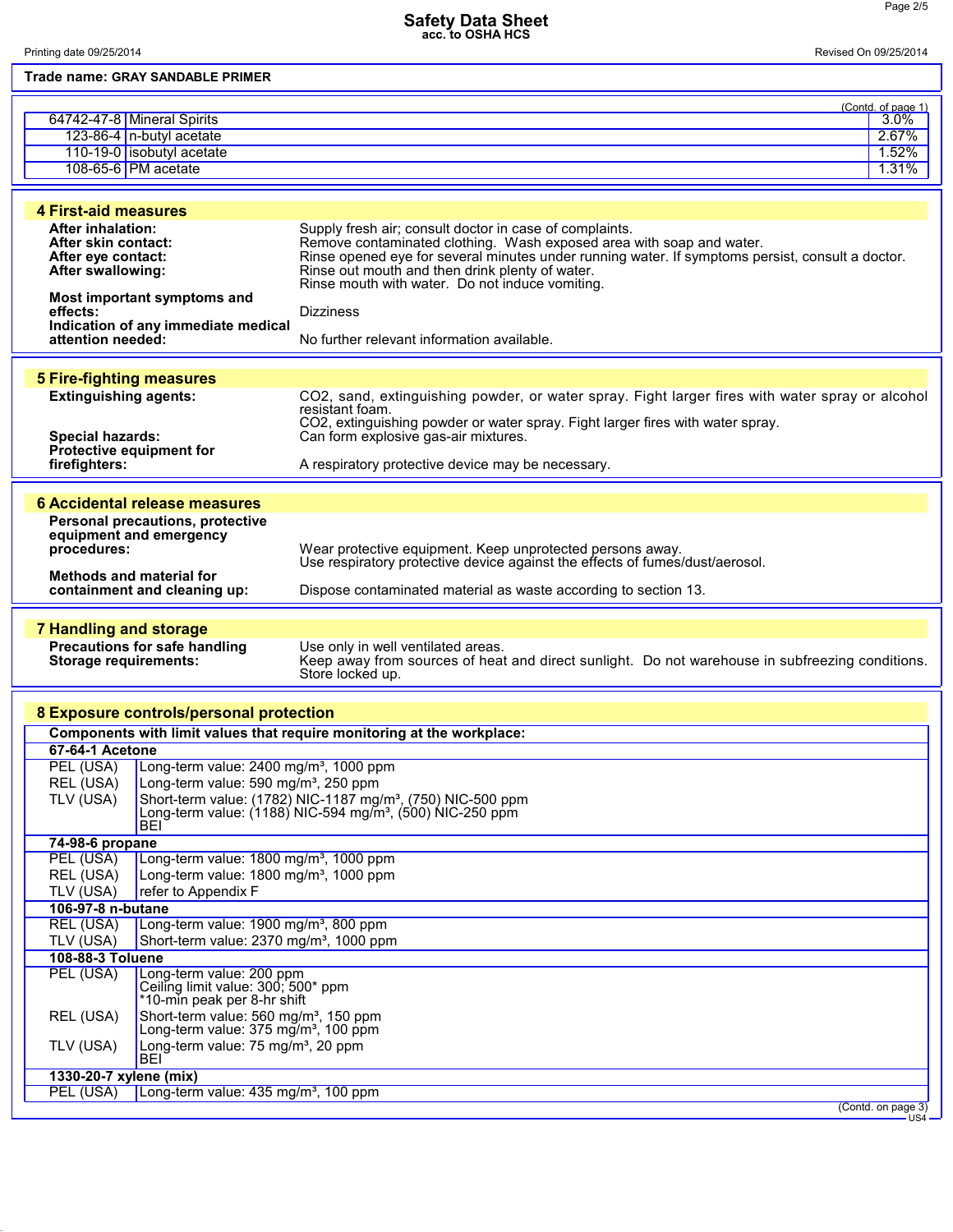Page 2/5

| Trade name: GRAY SANDABLE PRIMER                                                                                                                                                                                                          |                                                                                                                                                                                                                                                                                                                                           |  |
|-------------------------------------------------------------------------------------------------------------------------------------------------------------------------------------------------------------------------------------------|-------------------------------------------------------------------------------------------------------------------------------------------------------------------------------------------------------------------------------------------------------------------------------------------------------------------------------------------|--|
| 64742-47-8 Mineral Spirits<br>123-86-4 n-butyl acetate<br>110-19-0 isobutyl acetate<br>108-65-6 PM acetate                                                                                                                                | (Contd. of page 1)<br>$3.0\%$<br>2.67%<br>1.52%<br>1.31%                                                                                                                                                                                                                                                                                  |  |
| <b>4 First-aid measures</b>                                                                                                                                                                                                               |                                                                                                                                                                                                                                                                                                                                           |  |
| <b>After inhalation:</b><br>After skin contact:<br>After eye contact:<br><b>After swallowing:</b>                                                                                                                                         | Supply fresh air; consult doctor in case of complaints.<br>Remove contaminated clothing. Wash exposed area with soap and water.<br>Rinse opened eye for several minutes under running water. If symptoms persist, consult a doctor.<br>Rinse out mouth and then drink plenty of water.<br>Rinse mouth with water. Do not induce vomiting. |  |
| Most important symptoms and<br>effects:                                                                                                                                                                                                   | <b>Dizziness</b>                                                                                                                                                                                                                                                                                                                          |  |
| Indication of any immediate medical<br>attention needed:                                                                                                                                                                                  | No further relevant information available.                                                                                                                                                                                                                                                                                                |  |
|                                                                                                                                                                                                                                           |                                                                                                                                                                                                                                                                                                                                           |  |
| <b>5 Fire-fighting measures</b><br><b>Extinguishing agents:</b><br><b>Special hazards:</b><br>Protective equipment for<br>firefighters:                                                                                                   | CO2, sand, extinguishing powder, or water spray. Fight larger fires with water spray or alcohol<br>resistant foam.<br>CO2, extinguishing powder or water spray. Fight larger fires with water spray.<br>Can form explosive gas-air mixtures.<br>A respiratory protective device may be necessary.                                         |  |
| <b>6 Accidental release measures</b>                                                                                                                                                                                                      |                                                                                                                                                                                                                                                                                                                                           |  |
| Personal precautions, protective<br>equipment and emergency<br>procedures:<br><b>Methods and material for</b><br>containment and cleaning up:                                                                                             | Wear protective equipment. Keep unprotected persons away.<br>Use respiratory protective device against the effects of fumes/dust/aerosol.<br>Dispose contaminated material as waste according to section 13.                                                                                                                              |  |
|                                                                                                                                                                                                                                           |                                                                                                                                                                                                                                                                                                                                           |  |
| <b>7 Handling and storage</b><br><b>Precautions for safe handling</b><br><b>Storage requirements:</b>                                                                                                                                     | Use only in well ventilated areas.<br>Keep away from sources of heat and direct sunlight. Do not warehouse in subfreezing conditions.<br>Store locked up.                                                                                                                                                                                 |  |
| 8 Exposure controls/personal protection                                                                                                                                                                                                   |                                                                                                                                                                                                                                                                                                                                           |  |
| Components with limit values that require monitoring at the workplace:                                                                                                                                                                    |                                                                                                                                                                                                                                                                                                                                           |  |
| 67-64-1 Acetone                                                                                                                                                                                                                           |                                                                                                                                                                                                                                                                                                                                           |  |
| PEL (USA)<br>Long-term value: $2400$ mg/m <sup>3</sup> , 1000 ppm                                                                                                                                                                         |                                                                                                                                                                                                                                                                                                                                           |  |
| REL (USA)<br>Long-term value: 590 mg/m <sup>3</sup> , 250 ppm<br>TLV (USA)<br>Short-term value: (1782) NIC-1187 mg/m <sup>3</sup> , (750) NIC-500 ppm<br>Long-term value: $(1188)$ NIC-594 mg/m <sup>3</sup> , $(500)$ NIC-250 ppm<br>BEI |                                                                                                                                                                                                                                                                                                                                           |  |
| 74-98-6 propane                                                                                                                                                                                                                           |                                                                                                                                                                                                                                                                                                                                           |  |
| PEL (USA)<br>Long-term value: 1800 mg/m <sup>3</sup> , 1000 ppm<br>REL (USA)<br>Long-term value: 1800 mg/m <sup>3</sup> , 1000 ppm                                                                                                        |                                                                                                                                                                                                                                                                                                                                           |  |
| TLV (USA)<br>refer to Appendix F                                                                                                                                                                                                          |                                                                                                                                                                                                                                                                                                                                           |  |
| 106-97-8 n-butane                                                                                                                                                                                                                         |                                                                                                                                                                                                                                                                                                                                           |  |
| <b>REL (USA)</b><br>Long-term value: 1900 mg/m <sup>3</sup> , 800 ppm<br>TLV (USA)<br>Short-term value: 2370 mg/m <sup>3</sup> , 1000 ppm                                                                                                 |                                                                                                                                                                                                                                                                                                                                           |  |
| 108-88-3 Toluene                                                                                                                                                                                                                          |                                                                                                                                                                                                                                                                                                                                           |  |
| PEL (USA)<br>Long-term value: 200 ppm<br>Ceiling limit value: 300; 500* ppm<br>*10-min peak per 8-hr shift                                                                                                                                |                                                                                                                                                                                                                                                                                                                                           |  |
| Short-term value: 560 mg/m <sup>3</sup> , 150 ppm<br>REL (USA)<br>Long-term value: 375 mg/m <sup>3</sup> , 100 ppm                                                                                                                        |                                                                                                                                                                                                                                                                                                                                           |  |
| Long-term value: 75 mg/m <sup>3</sup> , 20 ppm<br>TLV (USA)<br>BEI                                                                                                                                                                        |                                                                                                                                                                                                                                                                                                                                           |  |
| 1330-20-7 xylene (mix)                                                                                                                                                                                                                    |                                                                                                                                                                                                                                                                                                                                           |  |
| Long-term value: 435 mg/m <sup>3</sup> , 100 ppm<br>PEL (USA)                                                                                                                                                                             |                                                                                                                                                                                                                                                                                                                                           |  |
|                                                                                                                                                                                                                                           | (Contd. on page 3)<br>US4                                                                                                                                                                                                                                                                                                                 |  |

**Safety Data Sheet acc. to OSHA HCS**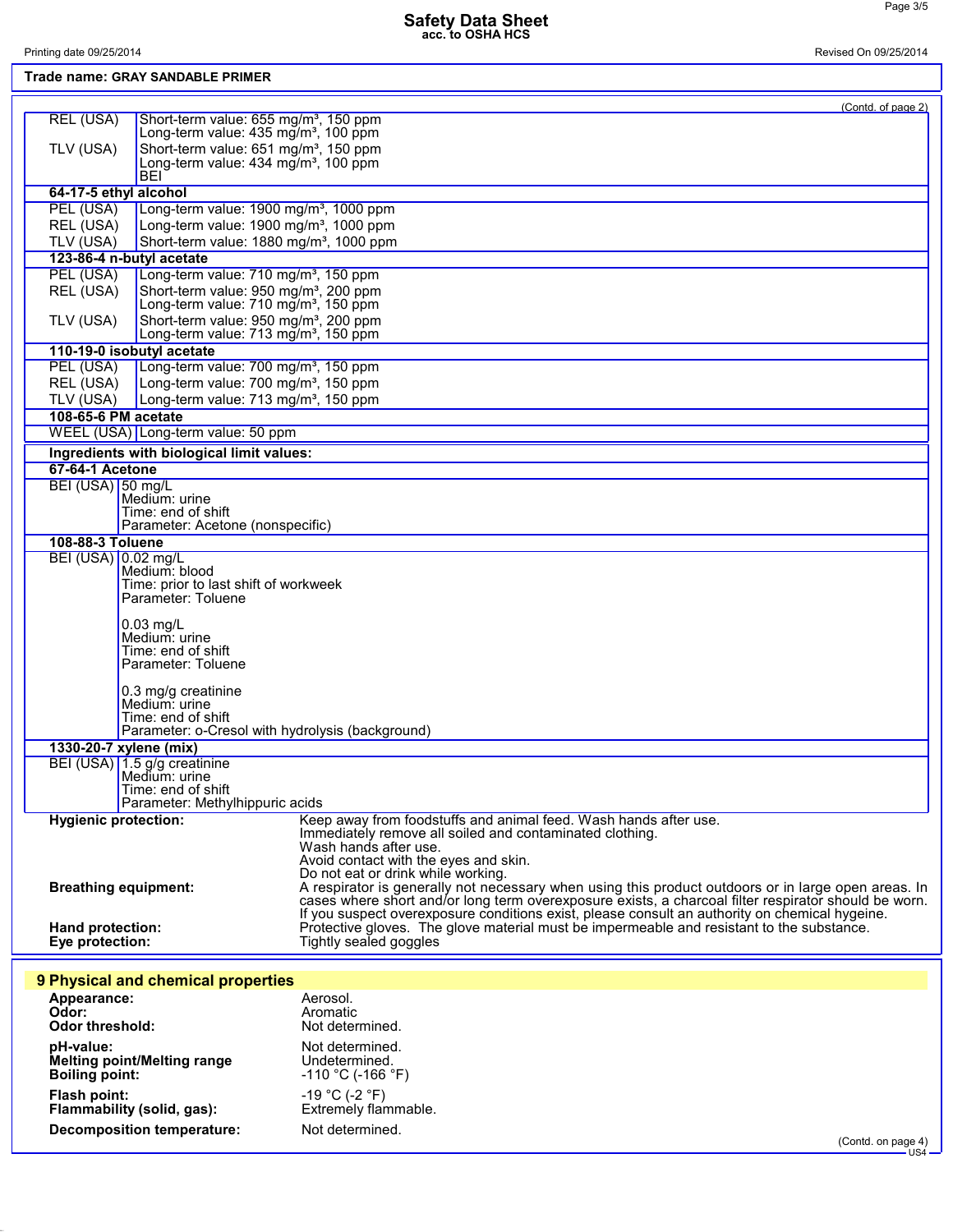Page 3/5

| Printing date 09/25/2014<br>. <b>. .</b> . <u>.</u> .<br>$\mathbf{r}$ and $\mathbf{r}$ and $\mathbf{r}$ and $\mathbf{r}$ and $\mathbf{r}$ and $\mathbf{r}$ and $\mathbf{r}$ and $\mathbf{r}$ and $\mathbf{r}$ and $\mathbf{r}$ and $\mathbf{r}$ and $\mathbf{r}$ and $\mathbf{r}$ and $\mathbf{r}$ and $\mathbf{r}$ and $\mathbf{r}$ and $\mathbf{r}$ and | Revised On 09/25/2014 |
|-----------------------------------------------------------------------------------------------------------------------------------------------------------------------------------------------------------------------------------------------------------------------------------------------------------------------------------------------------------|-----------------------|
|-----------------------------------------------------------------------------------------------------------------------------------------------------------------------------------------------------------------------------------------------------------------------------------------------------------------------------------------------------------|-----------------------|

|                             | Trade name: GRAY SANDABLE PRIMER                                                                          |                                                                                                                                                                                             |
|-----------------------------|-----------------------------------------------------------------------------------------------------------|---------------------------------------------------------------------------------------------------------------------------------------------------------------------------------------------|
|                             |                                                                                                           | (Contd. of page 2)                                                                                                                                                                          |
| REL (USA)                   | Short-term value: 655 mg/m <sup>3</sup> , 150 ppm<br>Long-term value: 435 mg/m <sup>3</sup> , 100 ppm     |                                                                                                                                                                                             |
|                             |                                                                                                           |                                                                                                                                                                                             |
| TLV (USA)                   | Short-term value: 651 mg/m <sup>3</sup> , 150 ppm<br>Long-term value: $434 \text{ mg/m}^3$ , 100 ppm      |                                                                                                                                                                                             |
|                             | BEI                                                                                                       |                                                                                                                                                                                             |
| 64-17-5 ethyl alcohol       |                                                                                                           |                                                                                                                                                                                             |
| PEL (USA)                   | Long-term value: 1900 mg/m <sup>3</sup> , 1000 ppm                                                        |                                                                                                                                                                                             |
| REL (USA)<br>TLV (USA)      | Long-term value: 1900 mg/m <sup>3</sup> , 1000 ppm<br>Short-term value: 1880 mg/m <sup>3</sup> , 1000 ppm |                                                                                                                                                                                             |
|                             | 123-86-4 n-butyl acetate                                                                                  |                                                                                                                                                                                             |
| PEL (USA)                   | Long-term value: 710 mg/m <sup>3</sup> , 150 ppm                                                          |                                                                                                                                                                                             |
| REL (USA)                   | Short-term value: 950 mg/m <sup>3</sup> , 200 ppm                                                         |                                                                                                                                                                                             |
|                             | Long-term value: 710 mg/m <sup>3</sup> , 150 ppm                                                          |                                                                                                                                                                                             |
| TLV (USA)                   | Short-term value: 950 mg/m <sup>3</sup> , 200 ppm                                                         |                                                                                                                                                                                             |
|                             | Long-term value: 713 mg/m <sup>3</sup> , 150 ppm                                                          |                                                                                                                                                                                             |
| PEL (USA)                   | 110-19-0 isobutyl acetate<br>Long-term value: 700 mg/m <sup>3</sup> , 150 ppm                             |                                                                                                                                                                                             |
| REL (USA)                   | Long-term value: 700 mg/m <sup>3</sup> , 150 ppm                                                          |                                                                                                                                                                                             |
| TLV (USA)                   | Long-term value: 713 mg/m <sup>3</sup> , 150 ppm                                                          |                                                                                                                                                                                             |
| 108-65-6 PM acetate         |                                                                                                           |                                                                                                                                                                                             |
|                             | WEEL (USA) Long-term value: 50 ppm                                                                        |                                                                                                                                                                                             |
|                             | Ingredients with biological limit values:                                                                 |                                                                                                                                                                                             |
| 67-64-1 Acetone             |                                                                                                           |                                                                                                                                                                                             |
| BEI (USA) 50 mg/L           |                                                                                                           |                                                                                                                                                                                             |
|                             | Medium: urine                                                                                             |                                                                                                                                                                                             |
|                             | Time: end of shift<br>Parameter: Acetone (nonspecific)                                                    |                                                                                                                                                                                             |
| 108-88-3 Toluene            |                                                                                                           |                                                                                                                                                                                             |
| BEI (USA) 0.02 mg/L         |                                                                                                           |                                                                                                                                                                                             |
|                             | Medium: blood                                                                                             |                                                                                                                                                                                             |
|                             | Time: prior to last shift of workweek<br>Parameter: Toluene                                               |                                                                                                                                                                                             |
|                             |                                                                                                           |                                                                                                                                                                                             |
|                             | $0.03$ mg/L                                                                                               |                                                                                                                                                                                             |
|                             | Medium: urine                                                                                             |                                                                                                                                                                                             |
|                             | Time: end of shift<br>Parameter: Toluene                                                                  |                                                                                                                                                                                             |
|                             |                                                                                                           |                                                                                                                                                                                             |
|                             | 0.3 mg/g creatinine<br>Medium: urine                                                                      |                                                                                                                                                                                             |
|                             | Time: end of shift                                                                                        |                                                                                                                                                                                             |
|                             | Parameter: o-Cresol with hydrolysis (background)                                                          |                                                                                                                                                                                             |
|                             | 1330-20-7 xylene (mix)                                                                                    |                                                                                                                                                                                             |
|                             | BEI (USA) 1.5 g/g creatinine                                                                              |                                                                                                                                                                                             |
|                             | Medium: urine                                                                                             |                                                                                                                                                                                             |
|                             | Time: end of shift<br>Parameter: Methylhippuric acids                                                     |                                                                                                                                                                                             |
| <b>Hygienic protection:</b> |                                                                                                           | Keep away from foodstuffs and animal feed. Wash hands after use.                                                                                                                            |
|                             |                                                                                                           | Immediately remove all soiled and contaminated clothing.                                                                                                                                    |
|                             |                                                                                                           | Wash hands after use.<br>Avoid contact with the eyes and skin.                                                                                                                              |
|                             |                                                                                                           | Do not eat or drink while working.                                                                                                                                                          |
|                             | <b>Breathing equipment:</b>                                                                               | A respirator is generally not necessary when using this product outdoors or in large open areas. In                                                                                         |
|                             |                                                                                                           | cases where short and/or long term overexposure exists, a charcoal filter respirator should be worn.                                                                                        |
| Hand protection:            |                                                                                                           | If you suspect overexposure conditions exist, please consult an authority on chemical hygeine.<br>Protective gloves. The glove material must be impermeable and resistant to the substance. |
| Eye protection:             |                                                                                                           | Tightly sealed goggles                                                                                                                                                                      |
|                             |                                                                                                           |                                                                                                                                                                                             |
|                             | 9 Physical and chemical properties                                                                        |                                                                                                                                                                                             |
| Appearance:                 |                                                                                                           | Aerosol.                                                                                                                                                                                    |
| Odor:                       |                                                                                                           | Aromatic                                                                                                                                                                                    |
| <b>Odor threshold:</b>      |                                                                                                           | Not determined.                                                                                                                                                                             |
| pH-value:                   |                                                                                                           | Not determined.                                                                                                                                                                             |
|                             | Melting point/Melting range                                                                               | Undetermined.                                                                                                                                                                               |
| <b>Boiling point:</b>       |                                                                                                           | $-110 °C$ (-166 °F)                                                                                                                                                                         |
| <b>Flash point:</b>         |                                                                                                           | $-19$ °C (-2 °F)                                                                                                                                                                            |
|                             | Flammability (solid, gas):                                                                                | Extremely flammable.                                                                                                                                                                        |
|                             | <b>Decomposition temperature:</b>                                                                         | Not determined.                                                                                                                                                                             |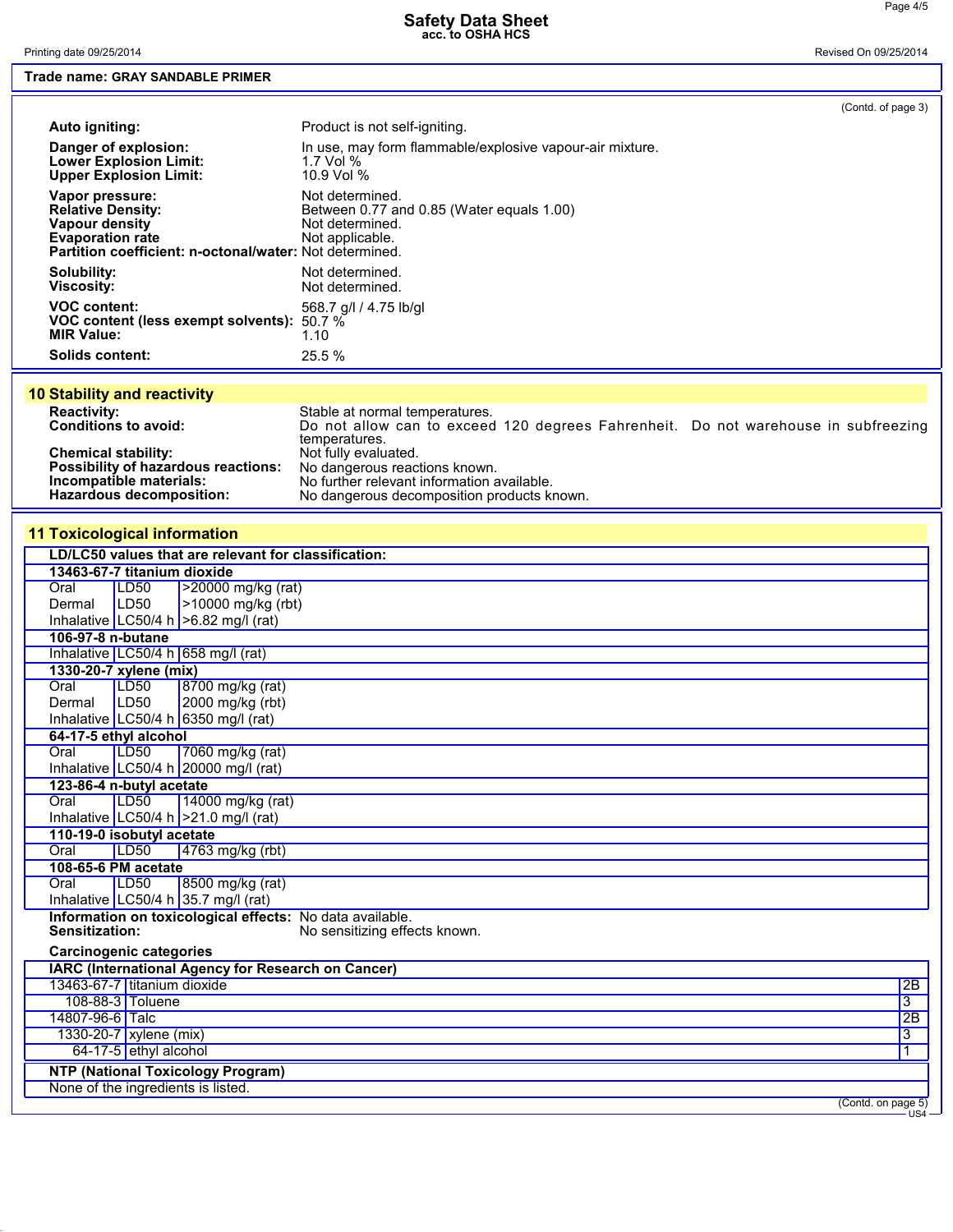Printing date 09/25/2014 Revised On 09/25/2014

## **Trade name: GRAY SANDABLE PRIMER**

|                                                                                                                                                     |                                                                                                    | (Contd. of page 3) |
|-----------------------------------------------------------------------------------------------------------------------------------------------------|----------------------------------------------------------------------------------------------------|--------------------|
| Auto igniting:                                                                                                                                      | Product is not self-igniting.                                                                      |                    |
| Danger of explosion:<br><b>Lower Explosion Limit:</b><br><b>Upper Explosion Limit:</b>                                                              | In use, may form flammable/explosive vapour-air mixture.<br>1.7 Vol $%$<br>10.9 Vol %              |                    |
| Vapor pressure:<br><b>Relative Density:</b><br>Vapour density<br><b>Evaporation rate</b><br>Partition coefficient: n-octonal/water: Not determined. | Not determined.<br>Between 0.77 and 0.85 (Water equals 1.00)<br>Not determined.<br>Not applicable. |                    |
| Solubility:<br><b>Viscosity:</b>                                                                                                                    | Not determined.<br>Not determined.                                                                 |                    |
| <b>VOC content:</b><br>VOC content (less exempt solvents):<br><b>MIR Value:</b>                                                                     | 568.7 g/l / 4.75 lb/gl<br>$50.7\%$<br>1.10                                                         |                    |
| <b>Solids content:</b>                                                                                                                              | 25.5%                                                                                              |                    |

|  | <b>10 Stability and reactivity</b> |
|--|------------------------------------|

| <b>Reactivity:</b>                         | Stable at normal temperatures.                                                     |
|--------------------------------------------|------------------------------------------------------------------------------------|
| <b>Conditions to avoid:</b>                | Do not allow can to exceed 120 degrees Fahrenheit. Do not warehouse in subfreezing |
|                                            | temperatures.                                                                      |
| <b>Chemical stability:</b>                 | Not fully evaluated.                                                               |
| <b>Possibility of hazardous reactions:</b> | No dangerous reactions known.                                                      |
| Incompatible materials:                    | No further relevant information available.                                         |
| Hazardous decomposition:                   | No dangerous decomposition products known.                                         |

## **11 Toxicological information**

|                                |                         | LD/LC50 values that are relevant for classification:      |                 |
|--------------------------------|-------------------------|-----------------------------------------------------------|-----------------|
| 13463-67-7 titanium dioxide    |                         |                                                           |                 |
| Oral                           | LD50                    | >20000 mg/kg (rat)                                        |                 |
| Dermal                         | LD50                    | >10000 mg/kg (rbt)                                        |                 |
|                                |                         | Inhalative $ LC50/4 h  > 6.82$ mg/l (rat)                 |                 |
| 106-97-8 n-butane              |                         |                                                           |                 |
|                                |                         | Inhalative LC50/4 h 658 mg/l (rat)                        |                 |
| 1330-20-7 xylene (mix)         |                         |                                                           |                 |
| Oral                           | LD <sub>50</sub>        | 8700 mg/kg (rat)                                          |                 |
| Dermal                         | LDS0                    | 2000 mg/kg (rbt)                                          |                 |
|                                |                         | Inhalative LC50/4 h 6350 mg/l (rat)                       |                 |
| 64-17-5 ethyl alcohol          |                         |                                                           |                 |
| Oral                           | LD50                    | 7060 mg/kg (rat)                                          |                 |
|                                |                         | Inhalative LC50/4 h 20000 mg/l (rat)                      |                 |
| 123-86-4 n-butyl acetate       |                         |                                                           |                 |
| Oral                           | LD50                    | 14000 mg/kg (rat)                                         |                 |
|                                |                         | Inhalative LC50/4 h $>21.0$ mg/l (rat)                    |                 |
| 110-19-0 isobutyl acetate      |                         |                                                           |                 |
| Oral                           | LDSO                    | 4763 mg/kg (rbt)                                          |                 |
| 108-65-6 PM acetate            |                         |                                                           |                 |
| Oral                           | LD50                    | 8500 mg/kg (rat)                                          |                 |
|                                |                         | Inhalative LC50/4 h 35.7 mg/l (rat)                       |                 |
|                                |                         | Information on toxicological effects: No data available.  |                 |
| Sensitization:                 |                         | No sensitizing effects known.                             |                 |
| <b>Carcinogenic categories</b> |                         |                                                           |                 |
|                                |                         | <b>IARC (International Agency for Research on Cancer)</b> |                 |
| 13463-67-7 titanium dioxide    |                         |                                                           | 2B              |
|                                | 108-88-3 Toluene        |                                                           | $\overline{3}$  |
| 14807-96-6 Talc                |                         |                                                           | $\overline{2B}$ |
|                                | 1330-20-7 xylene (mix)  |                                                           | $\overline{3}$  |
|                                | $64-17-5$ ethyl alcohol |                                                           |                 |
|                                |                         | <b>NTP (National Toxicology Program)</b>                  |                 |
|                                |                         | None of the ingredients is listed.                        |                 |

(Contd. on page 5) US4